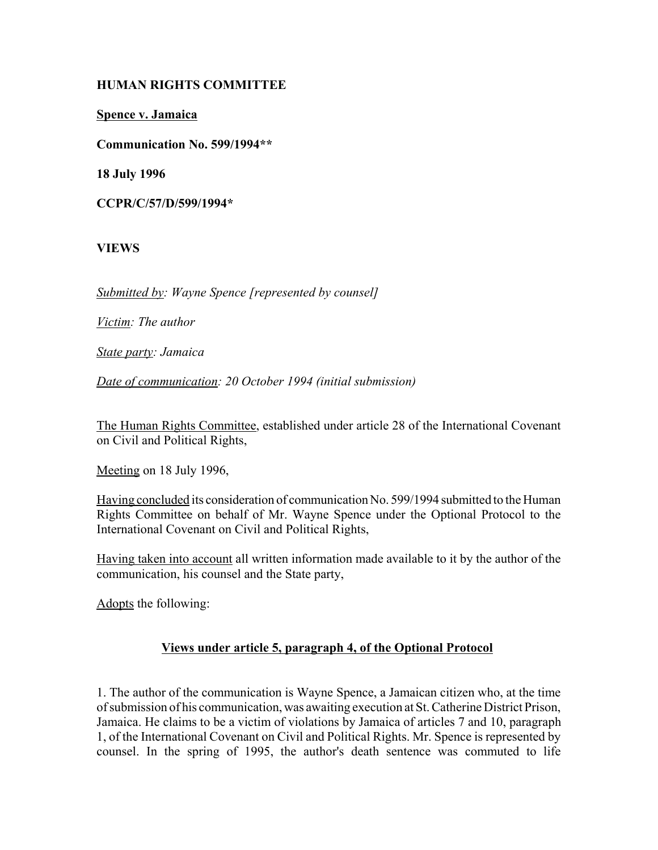# **HUMAN RIGHTS COMMITTEE**

**Spence v. Jamaica**

**Communication No. 599/1994\*\***

**18 July 1996**

**CCPR/C/57/D/599/1994\***

## **VIEWS**

*Submitted by: Wayne Spence [represented by counsel]*

*Victim: The author*

*State party: Jamaica*

*Date of communication: 20 October 1994 (initial submission)* 

The Human Rights Committee, established under article 28 of the International Covenant on Civil and Political Rights,

Meeting on 18 July 1996,

Having concluded its consideration of communication No. 599/1994 submitted to the Human Rights Committee on behalf of Mr. Wayne Spence under the Optional Protocol to the International Covenant on Civil and Political Rights,

Having taken into account all written information made available to it by the author of the communication, his counsel and the State party,

Adopts the following:

#### **Views under article 5, paragraph 4, of the Optional Protocol**

1. The author of the communication is Wayne Spence, a Jamaican citizen who, at the time of submission of his communication, was awaiting execution at St. Catherine District Prison, Jamaica. He claims to be a victim of violations by Jamaica of articles 7 and 10, paragraph 1, of the International Covenant on Civil and Political Rights. Mr. Spence is represented by counsel. In the spring of 1995, the author's death sentence was commuted to life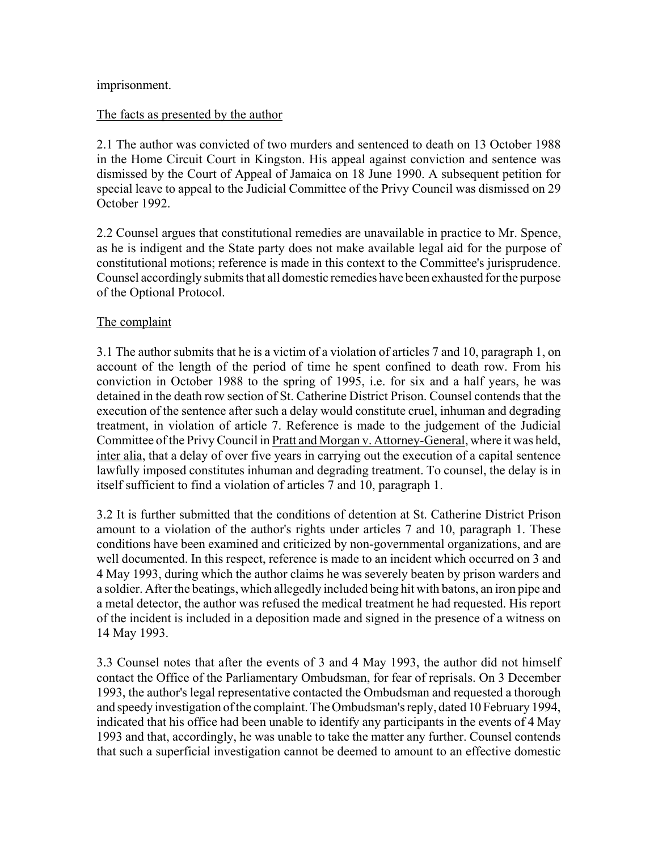#### imprisonment.

#### The facts as presented by the author

2.1 The author was convicted of two murders and sentenced to death on 13 October 1988 in the Home Circuit Court in Kingston. His appeal against conviction and sentence was dismissed by the Court of Appeal of Jamaica on 18 June 1990. A subsequent petition for special leave to appeal to the Judicial Committee of the Privy Council was dismissed on 29 October 1992.

2.2 Counsel argues that constitutional remedies are unavailable in practice to Mr. Spence, as he is indigent and the State party does not make available legal aid for the purpose of constitutional motions; reference is made in this context to the Committee's jurisprudence. Counsel accordingly submits that all domestic remedies have been exhausted for the purpose of the Optional Protocol.

## The complaint

3.1 The author submits that he is a victim of a violation of articles 7 and 10, paragraph 1, on account of the length of the period of time he spent confined to death row. From his conviction in October 1988 to the spring of 1995, i.e. for six and a half years, he was detained in the death row section of St. Catherine District Prison. Counsel contends that the execution of the sentence after such a delay would constitute cruel, inhuman and degrading treatment, in violation of article 7. Reference is made to the judgement of the Judicial Committee of the Privy Council in Pratt and Morgan v. Attorney-General, where it was held, inter alia, that a delay of over five years in carrying out the execution of a capital sentence lawfully imposed constitutes inhuman and degrading treatment. To counsel, the delay is in itself sufficient to find a violation of articles 7 and 10, paragraph 1.

3.2 It is further submitted that the conditions of detention at St. Catherine District Prison amount to a violation of the author's rights under articles 7 and 10, paragraph 1. These conditions have been examined and criticized by non-governmental organizations, and are well documented. In this respect, reference is made to an incident which occurred on 3 and 4 May 1993, during which the author claims he was severely beaten by prison warders and a soldier. After the beatings, which allegedly included being hit with batons, an iron pipe and a metal detector, the author was refused the medical treatment he had requested. His report of the incident is included in a deposition made and signed in the presence of a witness on 14 May 1993.

3.3 Counsel notes that after the events of 3 and 4 May 1993, the author did not himself contact the Office of the Parliamentary Ombudsman, for fear of reprisals. On 3 December 1993, the author's legal representative contacted the Ombudsman and requested a thorough and speedy investigation of the complaint. The Ombudsman's reply, dated 10 February 1994, indicated that his office had been unable to identify any participants in the events of 4 May 1993 and that, accordingly, he was unable to take the matter any further. Counsel contends that such a superficial investigation cannot be deemed to amount to an effective domestic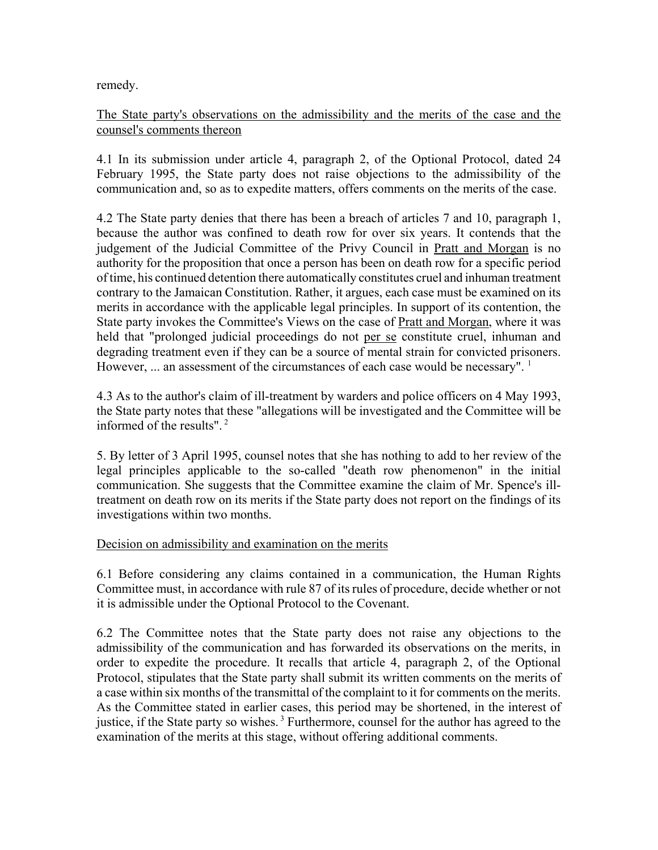remedy.

# The State party's observations on the admissibility and the merits of the case and the counsel's comments thereon

4.1 In its submission under article 4, paragraph 2, of the Optional Protocol, dated 24 February 1995, the State party does not raise objections to the admissibility of the communication and, so as to expedite matters, offers comments on the merits of the case.

4.2 The State party denies that there has been a breach of articles 7 and 10, paragraph 1, because the author was confined to death row for over six years. It contends that the judgement of the Judicial Committee of the Privy Council in Pratt and Morgan is no authority for the proposition that once a person has been on death row for a specific period of time, his continued detention there automatically constitutes cruel and inhuman treatment contrary to the Jamaican Constitution. Rather, it argues, each case must be examined on its merits in accordance with the applicable legal principles. In support of its contention, the State party invokes the Committee's Views on the case of Pratt and Morgan, where it was held that "prolonged judicial proceedings do not per se constitute cruel, inhuman and degrading treatment even if they can be a source of mental strain for convicted prisoners. However, ... an assessment of the circumstances of each case would be necessary". <sup>1</sup>

4.3 As to the author's claim of ill-treatment by warders and police officers on 4 May 1993, the State party notes that these "allegations will be investigated and the Committee will be informed of the results". 2

5. By letter of 3 April 1995, counsel notes that she has nothing to add to her review of the legal principles applicable to the so-called "death row phenomenon" in the initial communication. She suggests that the Committee examine the claim of Mr. Spence's illtreatment on death row on its merits if the State party does not report on the findings of its investigations within two months.

#### Decision on admissibility and examination on the merits

6.1 Before considering any claims contained in a communication, the Human Rights Committee must, in accordance with rule 87 of its rules of procedure, decide whether or not it is admissible under the Optional Protocol to the Covenant.

6.2 The Committee notes that the State party does not raise any objections to the admissibility of the communication and has forwarded its observations on the merits, in order to expedite the procedure. It recalls that article 4, paragraph 2, of the Optional Protocol, stipulates that the State party shall submit its written comments on the merits of a case within six months of the transmittal of the complaint to it for comments on the merits. As the Committee stated in earlier cases, this period may be shortened, in the interest of justice, if the State party so wishes. 3 Furthermore, counsel for the author has agreed to the examination of the merits at this stage, without offering additional comments.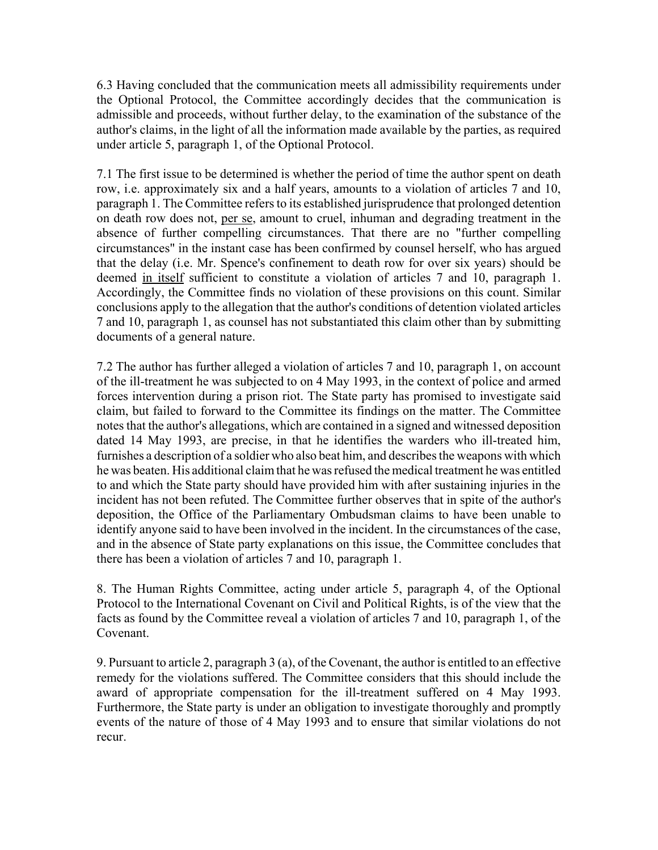6.3 Having concluded that the communication meets all admissibility requirements under the Optional Protocol, the Committee accordingly decides that the communication is admissible and proceeds, without further delay, to the examination of the substance of the author's claims, in the light of all the information made available by the parties, as required under article 5, paragraph 1, of the Optional Protocol.

7.1 The first issue to be determined is whether the period of time the author spent on death row, i.e. approximately six and a half years, amounts to a violation of articles 7 and 10, paragraph 1. The Committee refers to its established jurisprudence that prolonged detention on death row does not, per se, amount to cruel, inhuman and degrading treatment in the absence of further compelling circumstances. That there are no "further compelling circumstances" in the instant case has been confirmed by counsel herself, who has argued that the delay (i.e. Mr. Spence's confinement to death row for over six years) should be deemed in itself sufficient to constitute a violation of articles 7 and 10, paragraph 1. Accordingly, the Committee finds no violation of these provisions on this count. Similar conclusions apply to the allegation that the author's conditions of detention violated articles 7 and 10, paragraph 1, as counsel has not substantiated this claim other than by submitting documents of a general nature.

7.2 The author has further alleged a violation of articles 7 and 10, paragraph 1, on account of the ill-treatment he was subjected to on 4 May 1993, in the context of police and armed forces intervention during a prison riot. The State party has promised to investigate said claim, but failed to forward to the Committee its findings on the matter. The Committee notes that the author's allegations, which are contained in a signed and witnessed deposition dated 14 May 1993, are precise, in that he identifies the warders who ill-treated him, furnishes a description of a soldier who also beat him, and describes the weapons with which he was beaten. His additional claim that he was refused the medical treatment he was entitled to and which the State party should have provided him with after sustaining injuries in the incident has not been refuted. The Committee further observes that in spite of the author's deposition, the Office of the Parliamentary Ombudsman claims to have been unable to identify anyone said to have been involved in the incident. In the circumstances of the case, and in the absence of State party explanations on this issue, the Committee concludes that there has been a violation of articles 7 and 10, paragraph 1.

8. The Human Rights Committee, acting under article 5, paragraph 4, of the Optional Protocol to the International Covenant on Civil and Political Rights, is of the view that the facts as found by the Committee reveal a violation of articles 7 and 10, paragraph 1, of the Covenant.

9. Pursuant to article 2, paragraph 3 (a), of the Covenant, the author is entitled to an effective remedy for the violations suffered. The Committee considers that this should include the award of appropriate compensation for the ill-treatment suffered on 4 May 1993. Furthermore, the State party is under an obligation to investigate thoroughly and promptly events of the nature of those of 4 May 1993 and to ensure that similar violations do not recur.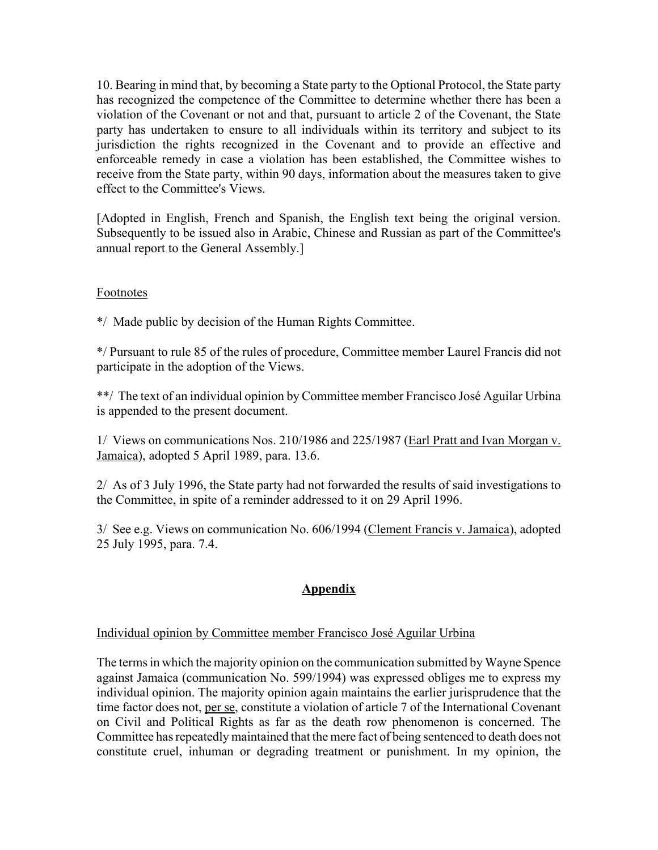10. Bearing in mind that, by becoming a State party to the Optional Protocol, the State party has recognized the competence of the Committee to determine whether there has been a violation of the Covenant or not and that, pursuant to article 2 of the Covenant, the State party has undertaken to ensure to all individuals within its territory and subject to its jurisdiction the rights recognized in the Covenant and to provide an effective and enforceable remedy in case a violation has been established, the Committee wishes to receive from the State party, within 90 days, information about the measures taken to give effect to the Committee's Views.

[Adopted in English, French and Spanish, the English text being the original version. Subsequently to be issued also in Arabic, Chinese and Russian as part of the Committee's annual report to the General Assembly.]

## Footnotes

\*/ Made public by decision of the Human Rights Committee.

\*/ Pursuant to rule 85 of the rules of procedure, Committee member Laurel Francis did not participate in the adoption of the Views.

\*\*/ The text of an individual opinion by Committee member Francisco José Aguilar Urbina is appended to the present document.

1/ Views on communications Nos. 210/1986 and 225/1987 (Earl Pratt and Ivan Morgan v. Jamaica), adopted 5 April 1989, para. 13.6.

2/ As of 3 July 1996, the State party had not forwarded the results of said investigations to the Committee, in spite of a reminder addressed to it on 29 April 1996.

3/ See e.g. Views on communication No. 606/1994 (Clement Francis v. Jamaica), adopted 25 July 1995, para. 7.4.

# **Appendix**

# Individual opinion by Committee member Francisco José Aguilar Urbina

The terms in which the majority opinion on the communication submitted by Wayne Spence against Jamaica (communication No. 599/1994) was expressed obliges me to express my individual opinion. The majority opinion again maintains the earlier jurisprudence that the time factor does not, per se, constitute a violation of article 7 of the International Covenant on Civil and Political Rights as far as the death row phenomenon is concerned. The Committee has repeatedly maintained that the mere fact of being sentenced to death does not constitute cruel, inhuman or degrading treatment or punishment. In my opinion, the